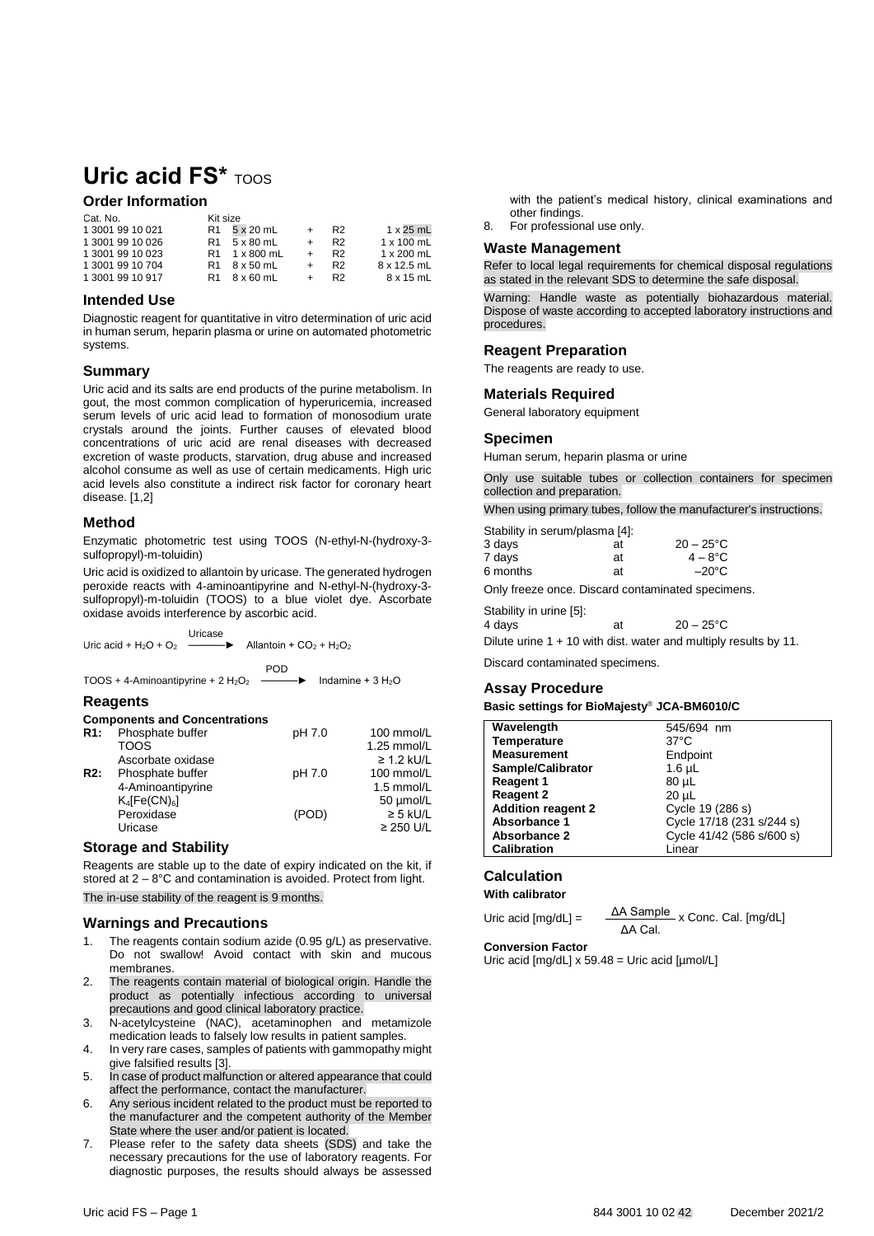# **Uric acid FS\*** TOOS

# **Order Information**

| Cat. No.         | Kit size |               |     |                |                   |
|------------------|----------|---------------|-----|----------------|-------------------|
| 1 3001 99 10 021 | R1       | 5 x 20 mL     |     | R <sub>2</sub> | $1 \times 25$ mL  |
| 1 3001 99 10 026 |          | R1 5 x 80 mL  | $+$ | R <sub>2</sub> | $1 \times 100$ mL |
| 1 3001 99 10 023 |          | R1 1 x 800 mL |     | R <sub>2</sub> | $1 \times 200$ mL |
| 1 3001 99 10 704 |          | R1 8 x 50 mL  |     | R <sub>2</sub> | 8 x 12.5 mL       |
| 1 3001 99 10 917 | R1.      | 8 x 60 mL     |     | R <sub>2</sub> | 8 x 15 mL         |

### **Intended Use**

Diagnostic reagent for quantitative in vitro determination of uric acid in human serum, heparin plasma or urine on automated photometric systems.

## **Summary**

Uric acid and its salts are end products of the purine metabolism. In gout, the most common complication of hyperuricemia, increased serum levels of uric acid lead to formation of monosodium urate crystals around the joints. Further causes of elevated blood concentrations of uric acid are renal diseases with decreased excretion of waste products, starvation, drug abuse and increased alcohol consume as well as use of certain medicaments. High uric acid levels also constitute a indirect risk factor for coronary heart disease. [1,2]

## **Method**

Enzymatic photometric test using TOOS (N-ethyl-N-(hydroxy-3 sulfopropyl)-m-toluidin)

Uric acid is oxidized to allantoin by uricase. The generated hydrogen peroxide reacts with 4-aminoantipyrine and N-ethyl-N-(hydroxy-3 sulfopropyl)-m-toluidin (TOOS) to a blue violet dye. Ascorbate oxidase avoids interference by ascorbic acid.

| Uricase | Uric acid + H <sub>2</sub> O + O <sub>2</sub> $\longrightarrow$ Allantoin + CO <sub>2</sub> + H <sub>2</sub> O <sub>2</sub> |  |
|---------|-----------------------------------------------------------------------------------------------------------------------------|--|
|         | <b>POD</b>                                                                                                                  |  |

TOOS + 4-Aminoantipyrine +  $2 H_2O_2$   $\longrightarrow$   $\blacktriangleright$  Indamine +  $3 H_2O$ 

## **Reagents**

#### **Components and Concentrations**

| R1: | Phosphate buffer             | pH 7.0 | 100 mmol/L      |
|-----|------------------------------|--------|-----------------|
|     | TOOS                         |        | 1.25 mmol/L     |
|     | Ascorbate oxidase            |        | $\geq$ 1.2 kU/L |
| R2: | Phosphate buffer             | pH 7.0 | 100 mmol/L      |
|     | 4-Aminoantipyrine            |        | 1.5 mmol/L      |
|     | $K_4$ [Fe(CN) <sub>6</sub> ] |        | 50 µmol/L       |
|     | Peroxidase                   | (POD)  | $\geq$ 5 kU/L   |
|     | Uricase                      |        | $\geq$ 250 U/L  |
|     |                              |        |                 |

#### **Storage and Stability**

Reagents are stable up to the date of expiry indicated on the kit, if stored at 2 – 8°C and contamination is avoided. Protect from light. The in-use stability of the reagent is 9 months.

#### **Warnings and Precautions**

- 1. The reagents contain sodium azide (0.95 g/L) as preservative. Do not swallow! Avoid contact with skin and mucous membranes.
- 2. The reagents contain material of biological origin. Handle the product as potentially infectious according to universal precautions and good clinical laboratory practice.
- 3. N-acetylcysteine (NAC), acetaminophen and metamizole medication leads to falsely low results in patient samples.
- 4. In very rare cases, samples of patients with gammopathy might give falsified results [3].
- 5. In case of product malfunction or altered appearance that could affect the performance, contact the manufacturer.
- 6. Any serious incident related to the product must be reported to the manufacturer and the competent authority of the Member State where the user and/or patient is located.
- 7. Please refer to the safety data sheets (SDS) and take the necessary precautions for the use of laboratory reagents. For diagnostic purposes, the results should always be assessed

with the patient's medical history, clinical examinations and other findings.

8. For professional use only.

#### **Waste Management**

Refer to local legal requirements for chemical disposal regulations as stated in the relevant SDS to determine the safe disposal.

Warning: Handle waste as potentially biohazardous material. Dispose of waste according to accepted laboratory instructions and procedures.

## **Reagent Preparation**

The reagents are ready to use.

#### **Materials Required**

General laboratory equipment

#### **Specimen**

Human serum, heparin plasma or urine

Only use suitable tubes or collection containers for specimen collection and preparation.

When using primary tubes, follow the manufacturer's instructions.

| Stability in serum/plasma [4]: |    |                     |
|--------------------------------|----|---------------------|
| 3 days                         | at | $20 - 25^{\circ}$ C |
| 7 days                         | at | $4 - 8^{\circ}$ C   |
| 6 months                       | at | $-20^{\circ}$ C     |

Only freeze once. Discard contaminated specimens.

Stability in urine [5]:

| 4 days | at | $20 - 25^{\circ}$ C |
|--------|----|---------------------|
|        |    |                     |

Dilute urine 1 + 10 with dist. water and multiply results by 11.

Discard contaminated specimens.

#### **Assay Procedure**

**Basic settings for BioMajesty**® **JCA-BM6010/C**

| Wavelength                | 545/694 nm                |
|---------------------------|---------------------------|
|                           |                           |
| <b>Temperature</b>        | $37^{\circ}$ C            |
| <b>Measurement</b>        | Endpoint                  |
| Sample/Calibrator         | $1.6 \mu L$               |
| <b>Reagent 1</b>          | 80 µL                     |
| <b>Reagent 2</b>          | $20 \mu L$                |
| <b>Addition reagent 2</b> | Cycle 19 (286 s)          |
| Absorbance 1              | Cycle 17/18 (231 s/244 s) |
| Absorbance 2              | Cycle 41/42 (586 s/600 s) |
| <b>Calibration</b>        | Linear                    |

#### **Calculation With calibrator**

Uric acid  $[mg/dL] = \frac{\Delta A \text{ Sample}}{\Delta A \text{ sample}} \times \text{Conc. Cal.} [mg/dL]$ ΔA Cal.

#### **Conversion Factor**

Uric acid [mg/dL] x 59.48 = Uric acid [µmol/L]